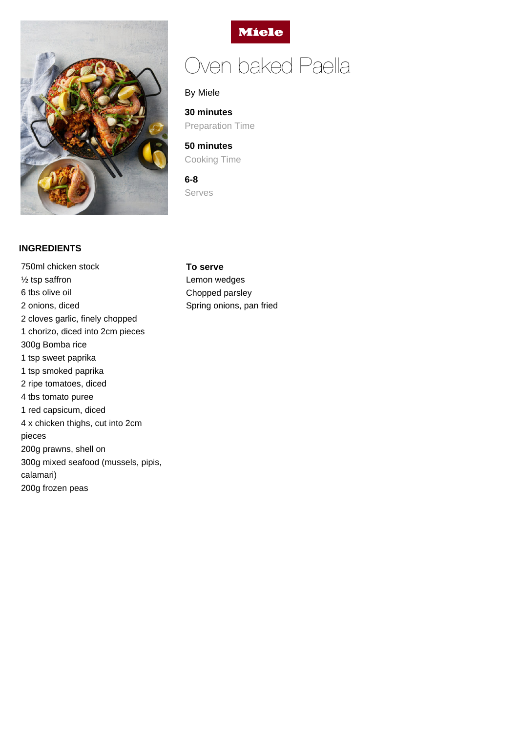



# Oven baked Paella

## By Miele

**30 minutes** Preparation Time

**50 minutes** Cooking Time

**6-8** Serves

#### **INGREDIENTS**

750ml chicken stock ½ tsp saffron 6 tbs olive oil 2 onions, diced 2 cloves garlic, finely chopped 1 chorizo, diced into 2cm pieces 300g Bomba rice 1 tsp sweet paprika 1 tsp smoked paprika 2 ripe tomatoes, diced 4 tbs tomato puree 1 red capsicum, diced 4 x chicken thighs, cut into 2cm pieces 200g prawns, shell on 300g mixed seafood (mussels, pipis, calamari) 200g frozen peas

#### **To serve**

Lemon wedges Chopped parsley Spring onions, pan fried